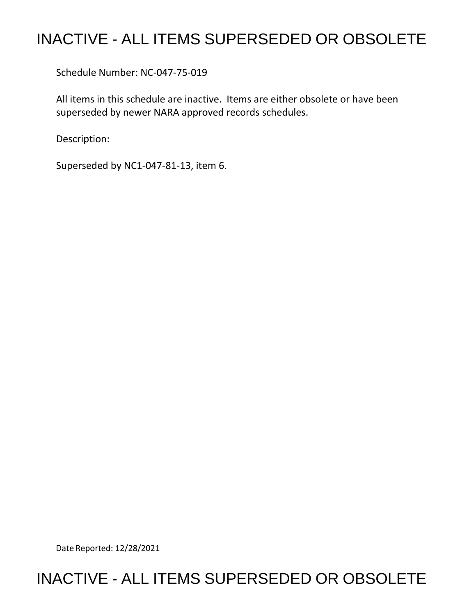## INACTIVE - ALL ITEMS SUPERSEDED OR OBSOLETE

Schedule Number: NC-047-75-019

All items in this schedule are inactive. Items are either obsolete or have been superseded by newer NARA approved records schedules.

Description:

Superseded by NC1-047-81-13, item 6.

Date Reported: 12/28/2021

## INACTIVE - ALL ITEMS SUPERSEDED OR OBSOLETE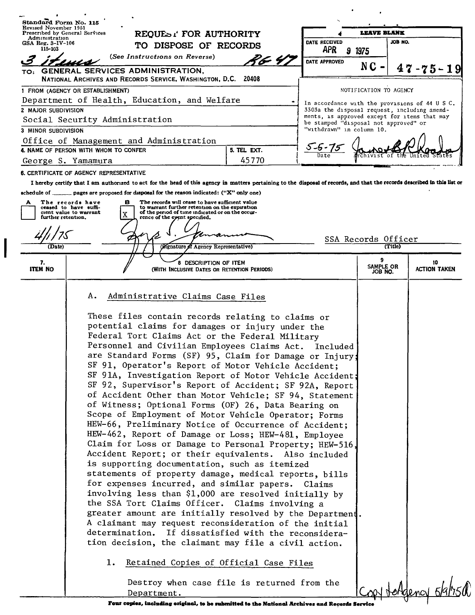| Standard Form No. 115                        |                                                                     |                       |                                                                                                                                                       |                                                                                                                                                                                                                                                                                                                                                                                                                                                                                                                                                                                                                                                                                                                                                                                                                                                                                                                                                                                                                                                                                                                                                                                                                                                                                                                                                                        |                                                                    |                                                                                                |                    |  |
|----------------------------------------------|---------------------------------------------------------------------|-----------------------|-------------------------------------------------------------------------------------------------------------------------------------------------------|------------------------------------------------------------------------------------------------------------------------------------------------------------------------------------------------------------------------------------------------------------------------------------------------------------------------------------------------------------------------------------------------------------------------------------------------------------------------------------------------------------------------------------------------------------------------------------------------------------------------------------------------------------------------------------------------------------------------------------------------------------------------------------------------------------------------------------------------------------------------------------------------------------------------------------------------------------------------------------------------------------------------------------------------------------------------------------------------------------------------------------------------------------------------------------------------------------------------------------------------------------------------------------------------------------------------------------------------------------------------|--------------------------------------------------------------------|------------------------------------------------------------------------------------------------|--------------------|--|
| Revised November 1951                        | Prescribed by General Services                                      | REQUEST FOR AUTHORITY |                                                                                                                                                       |                                                                                                                                                                                                                                                                                                                                                                                                                                                                                                                                                                                                                                                                                                                                                                                                                                                                                                                                                                                                                                                                                                                                                                                                                                                                                                                                                                        | <b>LEAVE BLANK</b>                                                 |                                                                                                |                    |  |
| Administration<br>GSA Reg. 3–IV–106          |                                                                     | TO DISPOSE OF RECORDS |                                                                                                                                                       |                                                                                                                                                                                                                                                                                                                                                                                                                                                                                                                                                                                                                                                                                                                                                                                                                                                                                                                                                                                                                                                                                                                                                                                                                                                                                                                                                                        | DATE RECEIVED                                                      | JOB NO.                                                                                        |                    |  |
| 115-103                                      |                                                                     |                       | (See Instructions on Reverse)                                                                                                                         | 96 4)                                                                                                                                                                                                                                                                                                                                                                                                                                                                                                                                                                                                                                                                                                                                                                                                                                                                                                                                                                                                                                                                                                                                                                                                                                                                                                                                                                  | <b>APR</b><br>9 1975                                               |                                                                                                |                    |  |
|                                              |                                                                     |                       | TO: GENERAL SERVICES ADMINISTRATION,                                                                                                                  |                                                                                                                                                                                                                                                                                                                                                                                                                                                                                                                                                                                                                                                                                                                                                                                                                                                                                                                                                                                                                                                                                                                                                                                                                                                                                                                                                                        | DATE APPROVED                                                      | $NC -$                                                                                         | $47 - 75 - 19$     |  |
|                                              |                                                                     |                       | NATIONAL ARCHIVES AND RECORDS SERVICE, WASHINGTON, D.C. 20408                                                                                         |                                                                                                                                                                                                                                                                                                                                                                                                                                                                                                                                                                                                                                                                                                                                                                                                                                                                                                                                                                                                                                                                                                                                                                                                                                                                                                                                                                        |                                                                    |                                                                                                |                    |  |
|                                              | 1 FROM (AGENCY OR ESTABLISHMENT)                                    |                       |                                                                                                                                                       |                                                                                                                                                                                                                                                                                                                                                                                                                                                                                                                                                                                                                                                                                                                                                                                                                                                                                                                                                                                                                                                                                                                                                                                                                                                                                                                                                                        |                                                                    | NOTIFICATION TO AGENCY                                                                         |                    |  |
| Department of Health, Education, and Welfare |                                                                     |                       |                                                                                                                                                       |                                                                                                                                                                                                                                                                                                                                                                                                                                                                                                                                                                                                                                                                                                                                                                                                                                                                                                                                                                                                                                                                                                                                                                                                                                                                                                                                                                        |                                                                    | In accordance with the provisions of 44 U S C.<br>3303a the disposal request, including amend- |                    |  |
| 2 MAJOR SUBDIVISION                          | Social Security Administration                                      |                       |                                                                                                                                                       |                                                                                                                                                                                                                                                                                                                                                                                                                                                                                                                                                                                                                                                                                                                                                                                                                                                                                                                                                                                                                                                                                                                                                                                                                                                                                                                                                                        | ments, is approved except for items that may                       |                                                                                                |                    |  |
| 3 MINOR SUBDIVISION                          |                                                                     |                       |                                                                                                                                                       |                                                                                                                                                                                                                                                                                                                                                                                                                                                                                                                                                                                                                                                                                                                                                                                                                                                                                                                                                                                                                                                                                                                                                                                                                                                                                                                                                                        | be stamped "disposal not approved" or<br>"withdrawn" in column 10. |                                                                                                |                    |  |
|                                              | Office of Management and Administration                             |                       |                                                                                                                                                       |                                                                                                                                                                                                                                                                                                                                                                                                                                                                                                                                                                                                                                                                                                                                                                                                                                                                                                                                                                                                                                                                                                                                                                                                                                                                                                                                                                        |                                                                    |                                                                                                |                    |  |
| 4. NAME OF PERSON WITH WHOM TO CONFER        |                                                                     |                       |                                                                                                                                                       | 5. TEL EXT.                                                                                                                                                                                                                                                                                                                                                                                                                                                                                                                                                                                                                                                                                                                                                                                                                                                                                                                                                                                                                                                                                                                                                                                                                                                                                                                                                            |                                                                    |                                                                                                |                    |  |
| George S. Yamamura                           |                                                                     |                       | 45770                                                                                                                                                 |                                                                                                                                                                                                                                                                                                                                                                                                                                                                                                                                                                                                                                                                                                                                                                                                                                                                                                                                                                                                                                                                                                                                                                                                                                                                                                                                                                        |                                                                    |                                                                                                |                    |  |
|                                              | 6. CERTIFICATE OF AGENCY REPRESENTATIVE                             |                       |                                                                                                                                                       |                                                                                                                                                                                                                                                                                                                                                                                                                                                                                                                                                                                                                                                                                                                                                                                                                                                                                                                                                                                                                                                                                                                                                                                                                                                                                                                                                                        |                                                                    |                                                                                                |                    |  |
|                                              |                                                                     |                       |                                                                                                                                                       | I hereby certify that I am authorized to act for the head of this agency in matters pertaining to the disposal of records, and that the records described in this list or                                                                                                                                                                                                                                                                                                                                                                                                                                                                                                                                                                                                                                                                                                                                                                                                                                                                                                                                                                                                                                                                                                                                                                                              |                                                                    |                                                                                                |                    |  |
|                                              |                                                                     |                       | schedule of $\qquad \qquad$ pages are proposed for disposal for the reason indicated: ("X" only one)                                                  |                                                                                                                                                                                                                                                                                                                                                                                                                                                                                                                                                                                                                                                                                                                                                                                                                                                                                                                                                                                                                                                                                                                                                                                                                                                                                                                                                                        |                                                                    |                                                                                                |                    |  |
| A                                            | The records have<br>ceased to have suffi-<br>cient value to warrant | в                     | The records will cease to have sufficient value<br>to warrant further retention on the expiration<br>of the period of time indicated or on the occur- |                                                                                                                                                                                                                                                                                                                                                                                                                                                                                                                                                                                                                                                                                                                                                                                                                                                                                                                                                                                                                                                                                                                                                                                                                                                                                                                                                                        |                                                                    |                                                                                                |                    |  |
|                                              | further retention.                                                  |                       | rence of the eyent specified.                                                                                                                         |                                                                                                                                                                                                                                                                                                                                                                                                                                                                                                                                                                                                                                                                                                                                                                                                                                                                                                                                                                                                                                                                                                                                                                                                                                                                                                                                                                        |                                                                    |                                                                                                |                    |  |
|                                              |                                                                     |                       |                                                                                                                                                       |                                                                                                                                                                                                                                                                                                                                                                                                                                                                                                                                                                                                                                                                                                                                                                                                                                                                                                                                                                                                                                                                                                                                                                                                                                                                                                                                                                        |                                                                    |                                                                                                |                    |  |
| (Date)                                       |                                                                     |                       | (Signature of Agency Representative)                                                                                                                  |                                                                                                                                                                                                                                                                                                                                                                                                                                                                                                                                                                                                                                                                                                                                                                                                                                                                                                                                                                                                                                                                                                                                                                                                                                                                                                                                                                        |                                                                    | SSA Records Officer<br>(Title)                                                                 |                    |  |
|                                              |                                                                     |                       |                                                                                                                                                       |                                                                                                                                                                                                                                                                                                                                                                                                                                                                                                                                                                                                                                                                                                                                                                                                                                                                                                                                                                                                                                                                                                                                                                                                                                                                                                                                                                        |                                                                    |                                                                                                |                    |  |
| 7.<br><b>ITEM NO</b>                         |                                                                     |                       | DESCRIPTION OF ITEM<br>(WITH INCLUSIVE DATES OR RETENTION PERIODS)                                                                                    |                                                                                                                                                                                                                                                                                                                                                                                                                                                                                                                                                                                                                                                                                                                                                                                                                                                                                                                                                                                                                                                                                                                                                                                                                                                                                                                                                                        |                                                                    | 9<br>SAMPLE OR                                                                                 | 10<br>ACTION TAKEN |  |
|                                              |                                                                     |                       |                                                                                                                                                       |                                                                                                                                                                                                                                                                                                                                                                                                                                                                                                                                                                                                                                                                                                                                                                                                                                                                                                                                                                                                                                                                                                                                                                                                                                                                                                                                                                        |                                                                    | JOB NO.                                                                                        |                    |  |
|                                              | Α.                                                                  | determination.        | Administrative Claims Case Files                                                                                                                      | These files contain records relating to claims or<br>potential claims for damages or injury under the<br>Federal Tort Claims Act or the Federal Military<br>Personnel and Civilian Employees Claims Act. Included<br>are Standard Forms (SF) 95, Claim for Damage or Injury;<br>SF 91, Operator's Report of Motor Vehicle Accident;<br>SF 91A, Investigation Report of Motor Vehicle Accident:<br>SF 92, Supervisor's Report of Accident; SF 92A, Report<br>of Accident Other than Motor Vehicle; SF 94, Statement<br>of Witness; Optional Forms (OF) 26, Data Bearing on<br>Scope of Employment of Motor Vehicle Operator; Forms<br>HEW-66, Preliminary Notice of Occurrence of Accident;<br>HEW-462, Report of Damage or Loss; HEW-481, Employee<br>Claim for Loss or Damage to Personal Property; HEW-516,<br>Accident Report; or their equivalents. Also included<br>is supporting documentation, such as itemized<br>statements of property damage, medical reports, bills<br>for expenses incurred, and similar papers. Claims<br>involving less than \$1,000 are resolved initially by<br>the SSA Tort Claims Officer. Claims involving a<br>greater amount are initially resolved by the Department.<br>A claimant may request reconsideration of the initial<br>If dissatisfied with the reconsidera-<br>tion decision, the claimant may file a civil action. |                                                                    |                                                                                                |                    |  |
|                                              |                                                                     | ı.                    | Department.                                                                                                                                           | Retained Copies of Official Case Files<br>Destroy when case file is returned from the                                                                                                                                                                                                                                                                                                                                                                                                                                                                                                                                                                                                                                                                                                                                                                                                                                                                                                                                                                                                                                                                                                                                                                                                                                                                                  |                                                                    |                                                                                                | 'dency 5/          |  |
|                                              |                                                                     |                       |                                                                                                                                                       | Four copies, including original, to be submitted to the National Archives and Records Service                                                                                                                                                                                                                                                                                                                                                                                                                                                                                                                                                                                                                                                                                                                                                                                                                                                                                                                                                                                                                                                                                                                                                                                                                                                                          |                                                                    |                                                                                                |                    |  |

┃

Four copies, including original, to be submitted to the National Archives and Records Service